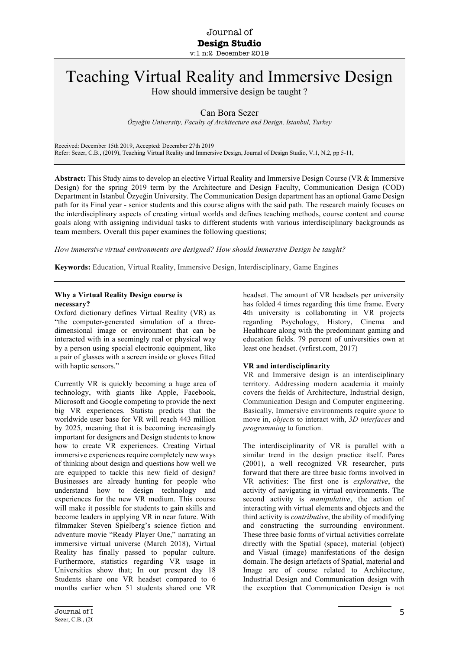# Teaching Virtual Reality and Immersive Design

How should immersive design be taught ?

Can Bora Sezer

*Özyeğin University, Faculty of Architecture and Design, Istanbul, Turkey*

Received: December 15th 2019, Accepted: December 27th 2019 Refer: Sezer, C.B., (2019), Teaching Virtual Reality and Immersive Design, Journal of Design Studio, V.1, N.2, pp 5-11,

**Abstract:** This Study aims to develop an elective Virtual Reality and Immersive Design Course (VR & Immersive Design) for the spring 2019 term by the Architecture and Design Faculty, Communication Design (COD) Department in Istanbul Özyeğin University. The Communication Design department has an optional Game Design path for its Final year - senior students and this course aligns with the said path. The research mainly focuses on the interdisciplinary aspects of creating virtual worlds and defines teaching methods, course content and course goals along with assigning individual tasks to different students with various interdisciplinary backgrounds as team members. Overall this paper examines the following questions;

*How immersive virtual environments are designed? How should Immersive Design be taught?* 

**Keywords:** Education, Virtual Reality, Immersive Design, Interdisciplinary, Game Engines

#### **Why a Virtual Reality Design course is necessary?**

Oxford dictionary defines Virtual Reality (VR) as "the computer-generated simulation of a threedimensional image or environment that can be interacted with in a seemingly real or physical way by a person using special electronic equipment, like a pair of glasses with a screen inside or gloves fitted with haptic sensors."

Currently VR is quickly becoming a huge area of technology, with giants like Apple, Facebook, Microsoft and Google competing to provide the next big VR experiences. Statista predicts that the worldwide user base for VR will reach 443 million by 2025, meaning that it is becoming increasingly important for designers and Design students to know how to create VR experiences. Creating Virtual immersive experiences require completely new ways of thinking about design and questions how well we are equipped to tackle this new field of design? Businesses are already hunting for people who understand how to design technology and experiences for the new VR medium. This course will make it possible for students to gain skills and become leaders in applying VR in near future. With filmmaker Steven Spielberg's science fiction and adventure movie "Ready Player One," narrating an immersive virtual universe (March 2018), Virtual Reality has finally passed to popular culture. Furthermore, statistics regarding VR usage in Universities show that; In our present day 18 Students share one VR headset compared to 6 months earlier when 51 students shared one VR

headset. The amount of VR headsets per university has folded 4 times regarding this time frame. Every 4th university is collaborating in VR projects regarding Psychology, History, Cinema and Healthcare along with the predominant gaming and education fields. 79 percent of universities own at least one headset. (vrfirst.com, 2017)

#### **VR and interdisciplinarity**

VR and Immersive design is an interdisciplinary territory. Addressing modern academia it mainly covers the fıelds of Architecture, Industrial design, Communication Design and Computer engineering. Basically, Immersive environments require *space* to move in, *objects* to interact with, *3D interfaces* and *programming* to function.

The interdisciplinarity of VR is parallel with a similar trend in the design practice itself. Pares (2001), a well recognized VR researcher, puts forward that there are three basic forms involved in VR activities: The first one is *explorative*, the activity of navigating in virtual environments. The second activity is *manipulative*, the action of interacting with virtual elements and objects and the third activity is *contributive*, the ability of modifying and constructing the surrounding environment. These three basic forms of virtual activities correlate directly with the Spatial (space), material (object) and Visual (image) manifestations of the design domain. The design artefacts of Spatial, material and Image are of course related to Architecture, Industrial Design and Communication design with the exception that Communication Design is not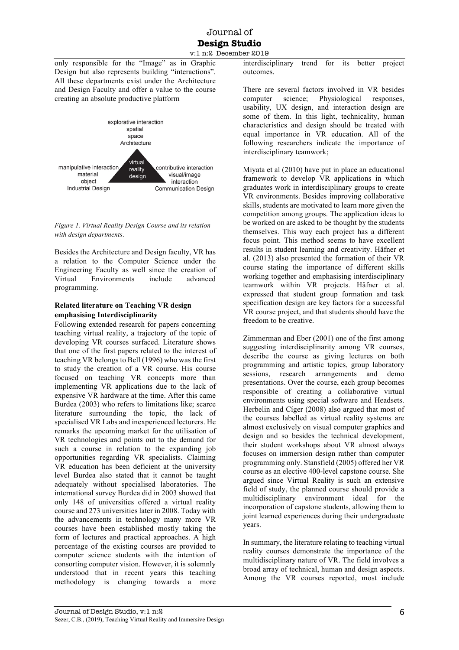# Journal of **Design Studio** v:1 n:2 December 2019

only responsible for the "Image" as in Graphic Design but also represents building "interactions". All these departments exist under the Architecture and Design Faculty and offer a value to the course creating an absolute productive platform



*Figure 1. Virtual Reality Design Course and its relation with design departments*.

Besides the Architecture and Design faculty, VR has a relation to the Computer Science under the Engineering Faculty as well since the creation of Virtual Environments include advanced programming.

# **Related literature on Teaching VR design emphasising Interdisciplinarity**

Following extended research for papers concerning teaching virtual reality, a trajectory of the topic of developing VR courses surfaced. Literature shows that one of the first papers related to the interest of teaching VR belongs to Bell (1996) who was the first to study the creation of a VR course. His course focused on teaching VR concepts more than implementing VR applications due to the lack of expensive VR hardware at the time. After this came Burdea (2003) who refers to limitations like; scarce literature surrounding the topic, the lack of specialised VR Labs and inexperienced lecturers. He remarks the upcoming market for the utilisation of VR technologies and points out to the demand for such a course in relation to the expanding job opportunities regarding VR specialists. Claiming VR education has been deficient at the university level Burdea also stated that it cannot be taught adequately without specialised laboratories. The international survey Burdea did in 2003 showed that only 148 of universities offered a virtual reality course and 273 universities later in 2008. Today with the advancements in technology many more VR courses have been established mostly taking the form of lectures and practical approaches. A high percentage of the existing courses are provided to computer science students with the intention of consorting computer vision. However, it is solemnly understood that in recent years this teaching methodology is changing towards a more

interdisciplinary trend for its better project outcomes.

There are several factors involved in VR besides computer science; Physiological responses, usability, UX design, and interaction design are some of them. In this light, technicality, human characteristics and design should be treated with equal importance in VR education. All of the following researchers indicate the importance of interdisciplinary teamwork;

Miyata et al (2010) have put in place an educational framework to develop VR applications in which graduates work in interdisciplinary groups to create VR environments. Besides improving collaborative skills, students are motivated to learn more given the competition among groups. The application ideas to be worked on are asked to be thought by the students themselves. This way each project has a different focus point. This method seems to have excellent results in student learning and creativity. Häfner et al. (2013) also presented the formation of their VR course stating the importance of different skills working together and emphasising interdisciplinary teamwork within VR projects. Häfner et al. expressed that student group formation and task specification design are key factors for a successful VR course project, and that students should have the freedom to be creative.

Zimmerman and Eber (2001) one of the first among suggesting interdisciplinarity among VR courses, describe the course as giving lectures on both programming and artistic topics, group laboratory sessions, research arrangements and demo presentations. Over the course, each group becomes responsible of creating a collaborative virtual environments using special software and Headsets. Herbelin and Cíger (2008) also argued that most of the courses labelled as virtual reality systems are almost exclusively on visual computer graphics and design and so besides the technical development, their student workshops about VR almost always focuses on immersion design rather than computer programming only. Stansfield (2005) offered her VR course as an elective 400-level capstone course. She argued since Virtual Reality is such an extensive field of study, the planned course should provide a multidisciplinary environment ideal for the incorporation of capstone students, allowing them to joint learned experiences during their undergraduate years.

In summary, the literature relating to teaching virtual reality courses demonstrate the importance of the multidisciplinary nature of VR. The field involves a broad array of technical, human and design aspects. Among the VR courses reported, most include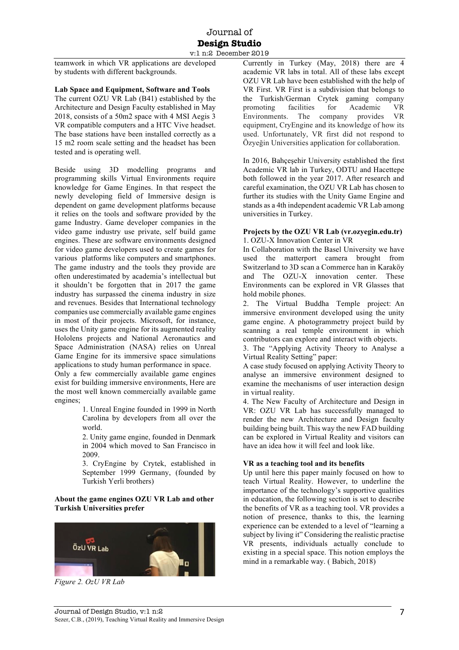# Journal of **Design Studio** v:1 n:2 December 2019

teamwork in which VR applications are developed by students with different backgrounds.

#### **Lab Space and Equipment, Software and Tools**

The current OZU VR Lab (B41) established by the Architecture and Design Faculty established in May 2018, consists of a 50m2 space with 4 MSI Aegis 3 VR compatible computers and a HTC Vive headset. The base stations have been installed correctly as a 15 m2 room scale setting and the headset has been tested and is operating well.

Beside using 3D modelling programs and programming skills Virtual Environments require knowledge for Game Engines. In that respect the newly developing field of Immersive design is dependent on game development platforms because it relies on the tools and software provided by the game Industry. Game developer companies in the video game industry use private, self build game engines. These are software environments designed for video game developers used to create games for various platforms like computers and smartphones. The game industry and the tools they provide are often underestimated by academia's intellectual but it shouldn't be forgotten that in 2017 the game industry has surpassed the cinema industry in size and revenues. Besides that International technology companies use commercially available game engines in most of their projects. Microsoft, for instance, uses the Unity game engine for its augmented reality Hololens projects and National Aeronautics and Space Administration (NASA) relies on Unreal Game Engine for its immersive space simulations applications to study human performance in space.

Only a few commercially available game engines exist for building immersive environments, Here are the most well known commercially available game engines;

> 1. Unreal Engine founded in 1999 in North Carolina by developers from all over the world.

> 2. Unity game engine, founded in Denmark in 2004 which moved to San Francisco in 2009.

> 3. CryEngine by Crytek, established in September 1999 Germany, (founded by Turkish Yerli brothers)

#### **About the game engines OZU VR Lab and other Turkish Universities prefer**



*Figure 2. OzU VR Lab*

Currently in Turkey (May, 2018) there are 4 academic VR labs in total. All of these labs except OZU VR Lab have been established with the help of VR First. VR First is a subdivision that belongs to the Turkish/German Crytek gaming company promoting facilities for Academic VR Environments. The company provides VR equipment, CryEngine and its knowledge of how its used. Unfortunately, VR first did not respond to Özyeğin Universities application for collaboration.

In 2016, Bahçeşehir University established the first Academic VR lab in Turkey, ODTU and Hacettepe both followed in the year 2017. After research and careful examination, the OZU VR Lab has chosen to further its studies with the Unity Game Engine and stands as a 4th independent academic VR Lab among universities in Turkey.

#### **Projects by the OZU VR Lab (vr.ozyegin.edu.tr)** 1. OZU-X Innovation Center in VR

In Collaboration with the Basel University we have used the matterport camera brought from Switzerland to 3D scan a Commerce han in Karaköy and The OZU-X innovation center. These Environments can be explored in VR Glasses that hold mobile phones.

2. The Virtual Buddha Temple project: An immersive environment developed using the unity game engine. A photogrammetry project build by scanning a real temple environment in which contributors can explore and interact with objects.

3. The "Applying Activity Theory to Analyse a Virtual Reality Setting" paper:

A case study focused on applying Activity Theory to analyse an immersive environment designed to examine the mechanisms of user interaction design in virtual reality.

4. The New Faculty of Architecture and Design in VR: OZU VR Lab has successfully managed to render the new Architecture and Design faculty building being built. This way the new FAD building can be explored in Virtual Reality and visitors can have an idea how it will feel and look like.

# **VR as a teaching tool and its benefits**

Up until here this paper mainly focused on how to teach Virtual Reality. However, to underline the importance of the technology's supportive qualities in education, the following section is set to describe the benefits of VR as a teaching tool. VR provides a notion of presence, thanks to this, the learning experience can be extended to a level of "learning a subject by living it" Considering the realistic practise VR presents, individuals actually conclude to existing in a special space. This notion employs the mind in a remarkable way. ( Babich, 2018)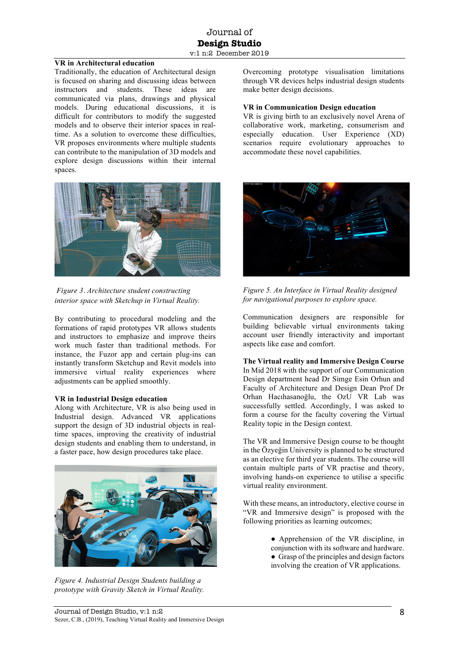#### **VR in Architectural education**

Traditionally, the education of Architectural design is focused on sharing and discussing ideas between instructors and students. These ideas are communicated via plans, drawings and physical models. During educational discussions, it is difficult for contributors to modify the suggested models and to observe their interior spaces in realtime. As a solution to overcome these difficulties, VR proposes environments where multiple students can contribute to the manipulation of 3D models and explore design discussions within their internal spaces.



*Figure 3. Architecture student constructing interior space with Sketchup in Virtual Reality.* 

By contributing to procedural modeling and the formations of rapid prototypes VR allows students and instructors to emphasize and improve theirs work much faster than traditional methods. For instance, the Fuzor app and certain plug-ins can instantly transform Sketchup and Revit models into immersive virtual reality experiences where adjustments can be applied smoothly.

#### **VR in Industrial Design education**

Along with Architecture, VR is also being used in Industrial design. Advanced VR applications support the design of 3D industrial objects in realtime spaces, improving the creativity of industrial design students and enabling them to understand, in a faster pace, how design procedures take place.



*Figure 4. Industrial Design Students building a prototype with Gravity Sketch in Virtual Reality.* 

Overcoming prototype visualisation limitations through VR devices helps industrial design students make better design decisions.

#### **VR in Communication Design education**

VR is giving birth to an exclusively novel Arena of collaborative work, marketing, consumerism and especially education. User Experience (XD) scenarios require evolutionary approaches to accommodate these novel capabilities.





Communication designers are responsible for building believable virtual environments taking account user friendly interactivity and important aspects like ease and comfort.

**The Virtual reality and Immersive Design Course**  In Mid 2018 with the support of our Communication Design department head Dr Simge Esin Orhun and Faculty of Architecture and Design Dean Prof Dr Orhan Hacıhasanoğlu, the OzU VR Lab was successfully settled. Accordingly, I was asked to form a course for the faculty covering the Virtual Reality topic in the Design context.

The VR and Immersive Design course to be thought in the Özyeğin University is planned to be structured as an elective for third year students. The course will contain multiple parts of VR practise and theory, involving hands-on experience to utilise a specific virtual reality environment.

With these means, an introductory, elective course in "VR and Immersive design" is proposed with the following priorities as learning outcomes;

> • Apprehension of the VR discipline, in conjunction with its software and hardware. ● Grasp of the principles and design factors involving the creation of VR applications.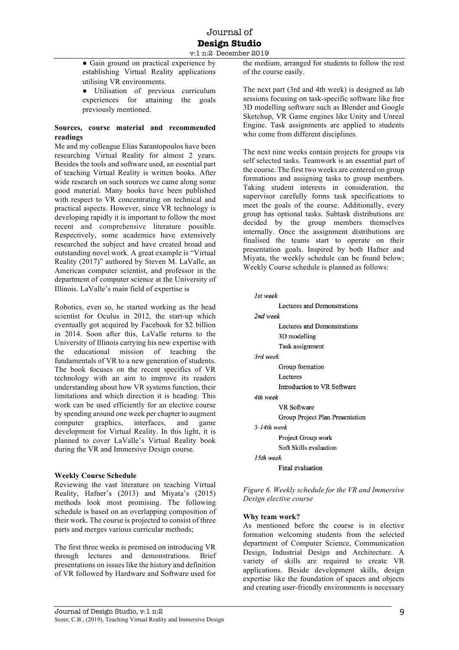• Gain ground on practical experience by establishing Virtual Reality applications utilising VR environments.

● Utilisation of previous curriculum experiences for attaining the goals previously mentioned.

### **Sources, course material and recommended readings**

Me and my colleague Elias Sarantopoulos have been researching Virtual Reality for almost 2 years. Besides the tools and software used, an essential part of teaching Virtual Reality is written books. After wide research on such sources we came along some good material. Many books have been published with respect to VR concentrating on technical and practical aspects. However, since VR technology is developing rapidly it is important to follow the most recent and comprehensive literature possible. Respectively, some academics have extensively researched the subject and have created broad and outstanding novel work. A great example is "Virtual Reality (2017)" authored by Steven M. LaValle, an American computer scientist, and professor in the department of computer science at the University of Illinois. LaValle's main field of expertise is

Robotics, even so, he started working as the head scientist for Oculus in 2012, the start-up which eventually got acquired by Facebook for \$2 billion in 2014. Soon after this, LaValle returns to the University of Illinois carrying his new expertise with the educational mission of teaching the fundamentals of VR to a new generation of students. The book focuses on the recent specifics of VR technology with an aim to improve its readers understanding about how VR systems function, their limitations and which direction it is heading. This work can be used efficiently for an elective course by spending around one week per chapter to augment computer graphics, interfaces, and game development for Virtual Reality. In this light, it is planned to cover LaValle's Virtual Reality book during the VR and Immersive Design course.

# **Weekly Course Schedule**

Reviewing the vast literature on teaching Virtual Reality, Hafner's (2013) and Miyata's (2015) methods look most promising. The following schedule is based on an overlapping composition of their work. The course is projected to consist of three parts and merges various curricular methods;

The first three weeks is premised on introducing VR through lectures and demonstrations. Brief presentations on issues like the history and definition of VR followed by Hardware and Software used for the medium, arranged for students to follow the rest of the course easily.

The next part (3rd and 4th week) is designed as lab sessions focusing on task-specific software like free 3D modelling software such as Blender and Google Sketchup, VR Game engines like Unity and Unreal Engine. Task assignments are applied to students who come from different disciplines.

The next nine weeks contain projects for groups via self selected tasks. Teamwork is an essential part of the course. The first two weeks are centered on group formations and assigning tasks to group members. Taking student interests in consideration, the supervisor carefully forms task specifications to meet the goals of the course. Additionally, every group has optional tasks. Subtask distributions are decided by the group members themselves internally. Once the assignment distributions are finalised the teams start to operate on their presentation goals. Inspired by both Hafner and Miyata, the weekly schedule can be found below; Weekly Course schedule is planned as follows:

```
1st week
```

|                  | Lectures and Demonstrations     |
|------------------|---------------------------------|
| $2nd$ week       |                                 |
|                  | Lectures and Demonstrations     |
|                  | 3D modelling                    |
|                  | Task assignment                 |
| 3rd week         |                                 |
|                  | Group formation                 |
|                  | Lectures                        |
|                  | Introduction to VR Software     |
| 4th week         |                                 |
|                  | <b>VR</b> Software              |
|                  | Group Project Plan Presentation |
| $5 - 14$ th week |                                 |
|                  | Project Group work              |
|                  | Soft Skills evaluation          |
| 15th week        |                                 |
|                  | Final evaluation                |

*Figure 6. Weekly schedule for the VR and Immersive Design elective course* 

# **Why team work?**

As mentioned before the course is in elective formation welcoming students from the selected department of Computer Science, Communication Design, Industrial Design and Architecture. A variety of skills are required to create VR applications. Beside development skills, design expertise like the foundation of spaces and objects and creating user-friendly environments is necessary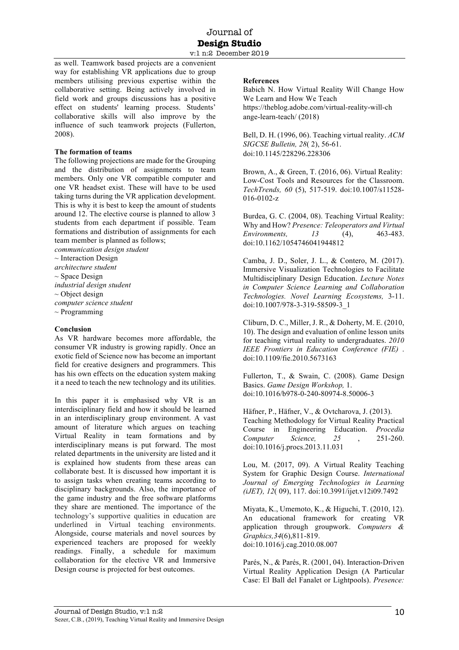as well. Teamwork based projects are a convenient way for establishing VR applications due to group members utilising previous expertise within the collaborative setting. Being actively involved in field work and groups discussions has a positive effect on students' learning process. Students' collaborative skills will also improve by the influence of such teamwork projects (Fullerton, 2008).

#### **The formation of teams**

The following projections are made for the Grouping and the distribution of assignments to team members. Only one VR compatible computer and one VR headset exist. These will have to be used taking turns during the VR application development. This is why it is best to keep the amount of students around 12. The elective course is planned to allow 3 students from each department if possible. Team formations and distribution of assignments for each team member is planned as follows;

*communication design student* 

 $\sim$  Interaction Design *architecture student*   $\sim$  Space Design *industrial design student*   $\sim$  Object design *computer science student*   $\sim$  Programming

#### **Conclusion**

As VR hardware becomes more affordable, the consumer VR industry is growing rapidly. Once an exotic field of Science now has become an important field for creative designers and programmers. This has his own effects on the education system making it a need to teach the new technology and its utilities.

In this paper it is emphasised why VR is an interdisciplinary field and how it should be learned in an interdisciplinary group environment. A vast amount of literature which argues on teaching Virtual Reality in team formations and by interdisciplinary means is put forward. The most related departments in the university are listed and it is explained how students from these areas can collaborate best. It is discussed how important it is to assign tasks when creating teams according to disciplinary backgrounds. Also, the importance of the game industry and the free software platforms they share are mentioned. The importance of the technology's supportive qualities in education are underlined in Virtual teaching environments. Alongside, course materials and novel sources by experienced teachers are proposed for weekly readings. Finally, a schedule for maximum collaboration for the elective VR and Immersive Design course is projected for best outcomes.

#### **References**

Babich N. How Virtual Reality Will Change How We Learn and How We Teach https://theblog.adobe.com/virtual-reality-will-ch ange-learn-teach/ (2018)

Bell, D. H. (1996, 06). Teaching virtual reality. *ACM SIGCSE Bulletin, 28*( 2), 56-61. doi:10.1145/228296.228306

Brown, A., & Green, T. (2016, 06). Virtual Reality: Low-Cost Tools and Resources for the Classroom. *TechTrends, 60* (5), 517-519. doi:10.1007/s11528- 016-0102-z

Burdea, G. C. (2004, 08). Teaching Virtual Reality: Why and How? *Presence: Teleoperators and Virtual Environments, 13* (4), 463-483. doi:10.1162/1054746041944812

Camba, J. D., Soler, J. L., & Contero, M. (2017). Immersive Visualization Technologies to Facilitate Multidisciplinary Design Education. *Lecture Notes in Computer Science Learning and Collaboration Technologies. Novel Learning Ecosystems,* 3-11. doi:10.1007/978-3-319-58509-3\_1

Cliburn, D. C., Miller, J. R., & Doherty, M. E. (2010, 10). The design and evaluation of online lesson units for teaching virtual reality to undergraduates. *2010 IEEE Frontiers in Education Conference (FIE)* . doi:10.1109/fie.2010.5673163

Fullerton, T., & Swain, C. (2008). Game Design Basics. *Game Design Workshop,* 1. doi:10.1016/b978-0-240-80974-8.50006-3

Häfner, P., Häfner, V., & Ovtcharova, J. (2013). Teaching Methodology for Virtual Reality Practical Course in Engineering Education. *Procedia Computer Science, 25* , 251-260. doi:10.1016/j.procs.2013.11.031

Lou, M. (2017, 09). A Virtual Reality Teaching System for Graphic Design Course. *International Journal of Emerging Technologies in Learning (iJET), 12*( 09), 117. doi:10.3991/ijet.v12i09.7492

Miyata, K., Umemoto, K., & Higuchi, T. (2010, 12). An educational framework for creating VR application through groupwork. *Computers & Graphics,34*(6),811-819. doi:10.1016/j.cag.2010.08.007

Parés, N., & Parés, R. (2001, 04). Interaction-Driven Virtual Reality Application Design (A Particular Case: El Ball del Fanalet or Lightpools). *Presence:*